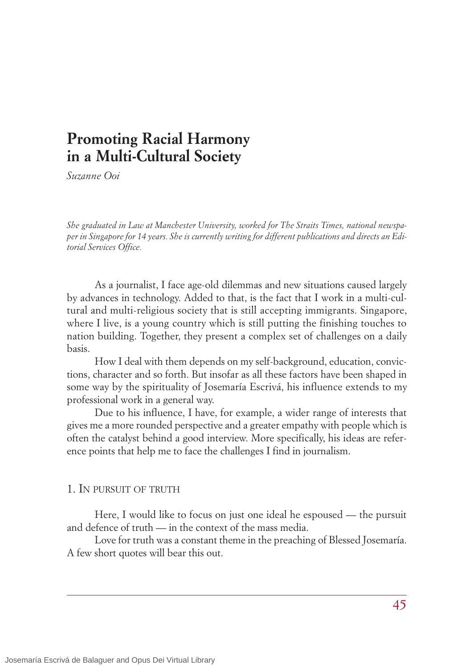# **Promoting Racial Harmony in a Multi-Cultural Society**

*Suzanne Ooi*

*She graduated in Law at Manchester University, worked for The Straits Times, national newspaper in Singapore for 14 years. She is currently writing for different publications and directs an Editorial Services Office.*

As a journalist, I face age-old dilemmas and new situations caused largely by advances in technology. Added to that, is the fact that I work in a multi-cultural and multi-religious society that is still accepting immigrants. Singapore, where I live, is a young country which is still putting the finishing touches to nation building. Together, they present a complex set of challenges on a daily basis.

How I deal with them depends on my self-background, education, convictions, character and so forth. But insofar as all these factors have been shaped in some way by the spirituality of Josemaría Escrivá, his influence extends to my professional work in a general way.

Due to his influence, I have, for example, a wider range of interests that gives me a more rounded perspective and a greater empathy with people which is often the catalyst behind a good interview. More specifically, his ideas are reference points that help me to face the challenges I find in journalism.

## 1. IN PURSUIT OF TRUTH

Here, I would like to focus on just one ideal he espoused — the pursuit and defence of truth — in the context of the mass media.

Love for truth was a constant theme in the preaching of Blessed Josemaría. A few short quotes will bear this out.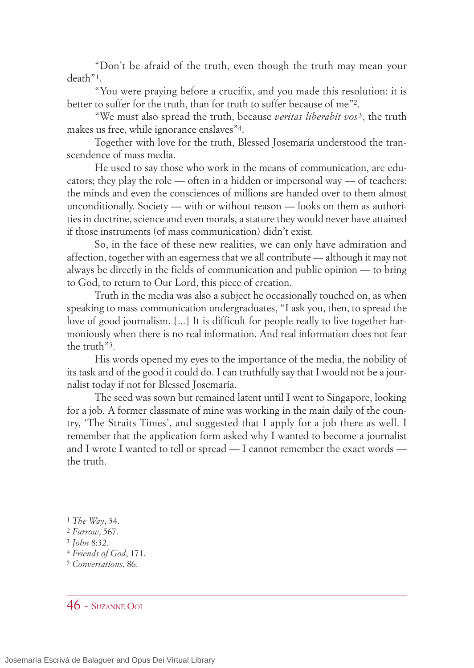"Don't be afraid of the truth, even though the truth may mean your death"1.

"You were praying before a crucifix, and you made this resolution: it is better to suffer for the truth, than for truth to suffer because of me"2.

"We must also spread the truth, because *veritas liberabit vos* 3, the truth makes us free, while ignorance enslaves"4.

Together with love for the truth, Blessed Josemaría understood the transcendence of mass media.

He used to say those who work in the means of communication, are educators; they play the role — often in a hidden or impersonal way — of teachers: the minds and even the consciences of millions are handed over to them almost unconditionally. Society — with or without reason — looks on them as authorities in doctrine, science and even morals, a stature they would never have attained if those instruments (of mass communication) didn't exist.

So, in the face of these new realities, we can only have admiration and affection, together with an eagerness that we all contribute — although it may not always be directly in the fields of communication and public opinion — to bring to God, to return to Our Lord, this piece of creation.

Truth in the media was also a subject he occasionally touched on, as when speaking to mass communication undergraduates, "I ask you, then, to spread the love of good journalism. [...] It is difficult for people really to live together harmoniously when there is no real information. And real information does not fear the truth"5.

His words opened my eyes to the importance of the media, the nobility of its task and of the good it could do. I can truthfully say that I would not be a journalist today if not for Blessed Josemaría.

The seed was sown but remained latent until I went to Singapore, looking for a job. A former classmate of mine was working in the main daily of the country, 'The Straits Times', and suggested that I apply for a job there as well. I remember that the application form asked why I wanted to become a journalist and I wrote I wanted to tell or spread — I cannot remember the exact words the truth.

 $46$  - SIIZANNE OOI

<sup>1</sup> *The Way*, 34.

<sup>2</sup> *Furrow*, 567.

<sup>3</sup> *John* 8:32.

<sup>4</sup> *Friends of God*, 171.

<sup>5</sup> *Conversations*, 86.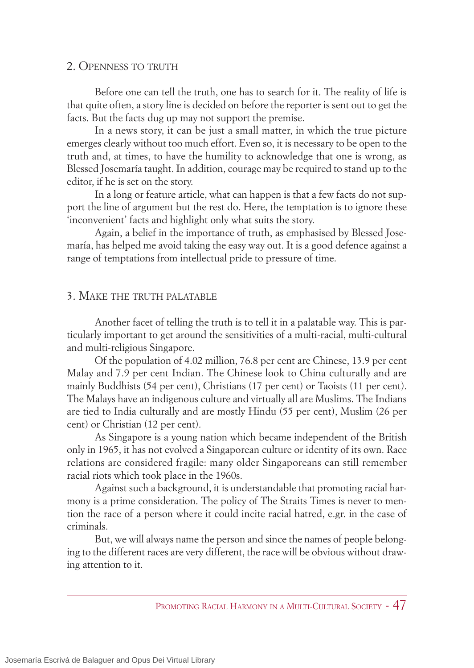## 2. OPENNESS TO TRUTH

Before one can tell the truth, one has to search for it. The reality of life is that quite often, a story line is decided on before the reporter is sent out to get the facts. But the facts dug up may not support the premise.

In a news story, it can be just a small matter, in which the true picture emerges clearly without too much effort. Even so, it is necessary to be open to the truth and, at times, to have the humility to acknowledge that one is wrong, as Blessed Josemaría taught. In addition, courage may be required to stand up to the editor, if he is set on the story.

In a long or feature article, what can happen is that a few facts do not support the line of argument but the rest do. Here, the temptation is to ignore these 'inconvenient' facts and highlight only what suits the story.

Again, a belief in the importance of truth, as emphasised by Blessed Josemaría, has helped me avoid taking the easy way out. It is a good defence against a range of temptations from intellectual pride to pressure of time.

## 3. MAKE THE TRUTH PALATABLE

Another facet of telling the truth is to tell it in a palatable way. This is particularly important to get around the sensitivities of a multi-racial, multi-cultural and multi-religious Singapore.

Of the population of 4.02 million, 76.8 per cent are Chinese, 13.9 per cent Malay and 7.9 per cent Indian. The Chinese look to China culturally and are mainly Buddhists (54 per cent), Christians (17 per cent) or Taoists (11 per cent). The Malays have an indigenous culture and virtually all are Muslims. The Indians are tied to India culturally and are mostly Hindu (55 per cent), Muslim (26 per cent) or Christian (12 per cent).

As Singapore is a young nation which became independent of the British only in 1965, it has not evolved a Singaporean culture or identity of its own. Race relations are considered fragile: many older Singaporeans can still remember racial riots which took place in the 1960s.

Against such a background, it is understandable that promoting racial harmony is a prime consideration. The policy of The Straits Times is never to mention the race of a person where it could incite racial hatred, e.gr. in the case of criminals.

But, we will always name the person and since the names of people belonging to the different races are very different, the race will be obvious without drawing attention to it.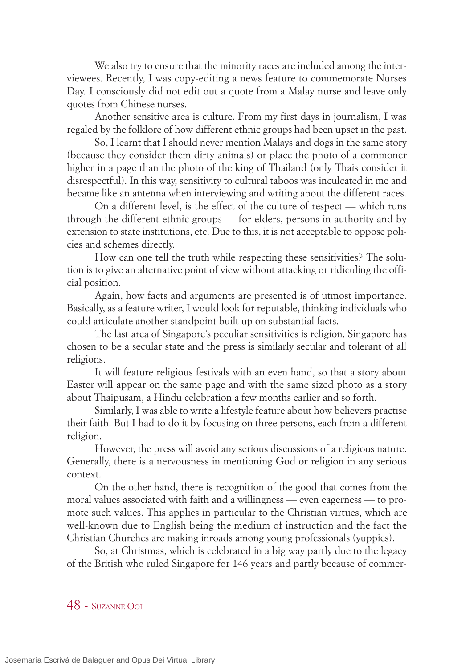We also try to ensure that the minority races are included among the interviewees. Recently, I was copy-editing a news feature to commemorate Nurses Day. I consciously did not edit out a quote from a Malay nurse and leave only quotes from Chinese nurses.

Another sensitive area is culture. From my first days in journalism, I was regaled by the folklore of how different ethnic groups had been upset in the past.

So, I learnt that I should never mention Malays and dogs in the same story (because they consider them dirty animals) or place the photo of a commoner higher in a page than the photo of the king of Thailand (only Thais consider it disrespectful). In this way, sensitivity to cultural taboos was inculcated in me and became like an antenna when interviewing and writing about the different races.

On a different level, is the effect of the culture of respect — which runs through the different ethnic groups — for elders, persons in authority and by extension to state institutions, etc. Due to this, it is not acceptable to oppose policies and schemes directly.

How can one tell the truth while respecting these sensitivities? The solution is to give an alternative point of view without attacking or ridiculing the official position.

Again, how facts and arguments are presented is of utmost importance. Basically, as a feature writer, I would look for reputable, thinking individuals who could articulate another standpoint built up on substantial facts.

The last area of Singapore's peculiar sensitivities is religion. Singapore has chosen to be a secular state and the press is similarly secular and tolerant of all religions.

It will feature religious festivals with an even hand, so that a story about Easter will appear on the same page and with the same sized photo as a story about Thaipusam, a Hindu celebration a few months earlier and so forth.

Similarly, I was able to write a lifestyle feature about how believers practise their faith. But I had to do it by focusing on three persons, each from a different religion.

However, the press will avoid any serious discussions of a religious nature. Generally, there is a nervousness in mentioning God or religion in any serious context.

On the other hand, there is recognition of the good that comes from the moral values associated with faith and a willingness — even eagerness — to promote such values. This applies in particular to the Christian virtues, which are well-known due to English being the medium of instruction and the fact the Christian Churches are making inroads among young professionals (yuppies).

So, at Christmas, which is celebrated in a big way partly due to the legacy of the British who ruled Singapore for 146 years and partly because of commer-

48 - SUZANNE OOI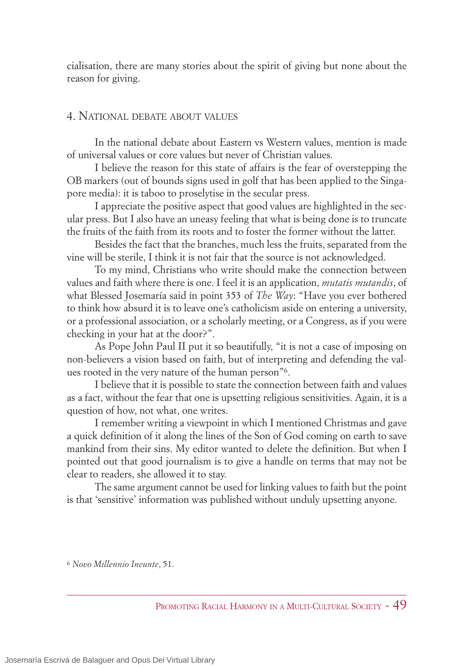cialisation, there are many stories about the spirit of giving but none about the reason for giving.

# 4. NATIONAL DEBATE ABOUT VALUES

In the national debate about Eastern vs Western values, mention is made of universal values or core values but never of Christian values.

I believe the reason for this state of affairs is the fear of overstepping the OB markers (out of bounds signs used in golf that has been applied to the Singapore media): it is taboo to proselytise in the secular press.

I appreciate the positive aspect that good values are highlighted in the secular press. But I also have an uneasy feeling that what is being done is to truncate the fruits of the faith from its roots and to foster the former without the latter.

Besides the fact that the branches, much less the fruits, separated from the vine will be sterile, I think it is not fair that the source is not acknowledged.

To my mind, Christians who write should make the connection between values and faith where there is one. I feel it is an application, *mutatis mutandis*, of what Blessed Josemaría said in point 353 of *The Way*: "Have you ever bothered to think how absurd it is to leave one's catholicism aside on entering a university, or a professional association, or a scholarly meeting, or a Congress, as if you were checking in your hat at the door?".

As Pope John Paul II put it so beautifully, "it is not a case of imposing on non-believers a vision based on faith, but of interpreting and defending the values rooted in the very nature of the human person"6.

I believe that it is possible to state the connection between faith and values as a fact, without the fear that one is upsetting religious sensitivities. Again, it is a question of how, not what, one writes.

I remember writing a viewpoint in which I mentioned Christmas and gave a quick definition of it along the lines of the Son of God coming on earth to save mankind from their sins. My editor wanted to delete the definition. But when I pointed out that good journalism is to give a handle on terms that may not be clear to readers, she allowed it to stay.

The same argument cannot be used for linking values to faith but the point is that 'sensitive' information was published without unduly upsetting anyone.

6 *Novo Millennio Ineunte*, 51.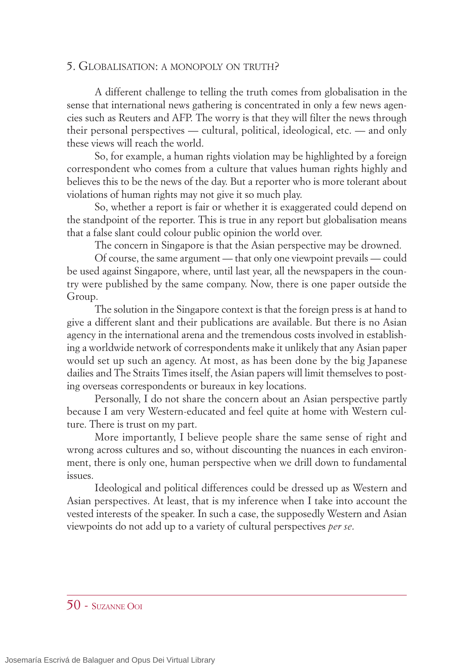## 5. GLOBALISATION: A MONOPOLY ON TRUTH?

A different challenge to telling the truth comes from globalisation in the sense that international news gathering is concentrated in only a few news agencies such as Reuters and AFP. The worry is that they will filter the news through their personal perspectives — cultural, political, ideological, etc. — and only these views will reach the world.

So, for example, a human rights violation may be highlighted by a foreign correspondent who comes from a culture that values human rights highly and believes this to be the news of the day. But a reporter who is more tolerant about violations of human rights may not give it so much play.

So, whether a report is fair or whether it is exaggerated could depend on the standpoint of the reporter. This is true in any report but globalisation means that a false slant could colour public opinion the world over.

The concern in Singapore is that the Asian perspective may be drowned.

Of course, the same argument — that only one viewpoint prevails — could be used against Singapore, where, until last year, all the newspapers in the country were published by the same company. Now, there is one paper outside the Group.

The solution in the Singapore context is that the foreign press is at hand to give a different slant and their publications are available. But there is no Asian agency in the international arena and the tremendous costs involved in establishing a worldwide network of correspondents make it unlikely that any Asian paper would set up such an agency. At most, as has been done by the big Japanese dailies and The Straits Times itself, the Asian papers will limit themselves to posting overseas correspondents or bureaux in key locations.

Personally, I do not share the concern about an Asian perspective partly because I am very Western-educated and feel quite at home with Western culture. There is trust on my part.

More importantly, I believe people share the same sense of right and wrong across cultures and so, without discounting the nuances in each environment, there is only one, human perspective when we drill down to fundamental issues.

Ideological and political differences could be dressed up as Western and Asian perspectives. At least, that is my inference when I take into account the vested interests of the speaker. In such a case, the supposedly Western and Asian viewpoints do not add up to a variety of cultural perspectives *per se*.

#### 50 - SUZANNE OOI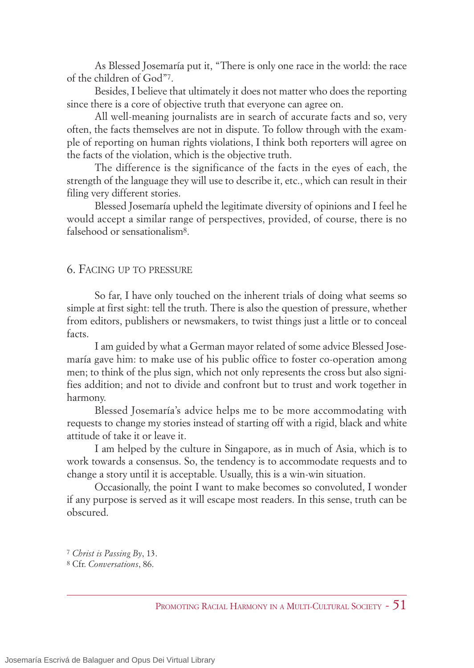As Blessed Josemaría put it, "There is only one race in the world: the race of the children of God"7.

Besides, I believe that ultimately it does not matter who does the reporting since there is a core of objective truth that everyone can agree on.

All well-meaning journalists are in search of accurate facts and so, very often, the facts themselves are not in dispute. To follow through with the example of reporting on human rights violations, I think both reporters will agree on the facts of the violation, which is the objective truth.

The difference is the significance of the facts in the eyes of each, the strength of the language they will use to describe it, etc., which can result in their filing very different stories.

Blessed Josemaría upheld the legitimate diversity of opinions and I feel he would accept a similar range of perspectives, provided, of course, there is no falsehood or sensationalism8.

## 6. FACING UP TO PRESSURE

So far, I have only touched on the inherent trials of doing what seems so simple at first sight: tell the truth. There is also the question of pressure, whether from editors, publishers or newsmakers, to twist things just a little or to conceal facts.

I am guided by what a German mayor related of some advice Blessed Josemaría gave him: to make use of his public office to foster co-operation among men; to think of the plus sign, which not only represents the cross but also signifies addition; and not to divide and confront but to trust and work together in harmony.

Blessed Josemaría's advice helps me to be more accommodating with requests to change my stories instead of starting off with a rigid, black and white attitude of take it or leave it.

I am helped by the culture in Singapore, as in much of Asia, which is to work towards a consensus. So, the tendency is to accommodate requests and to change a story until it is acceptable. Usually, this is a win-win situation.

Occasionally, the point I want to make becomes so convoluted, I wonder if any purpose is served as it will escape most readers. In this sense, truth can be obscured.

<sup>7</sup> *Christ is Passing By*, 13.

<sup>8</sup> Cfr. *Conversations*, 86.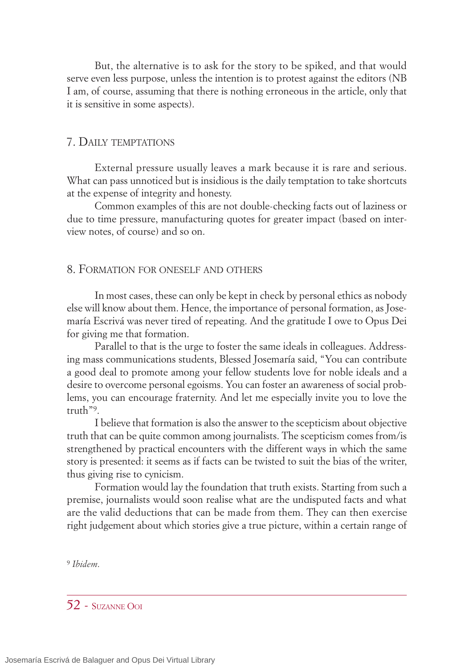But, the alternative is to ask for the story to be spiked, and that would serve even less purpose, unless the intention is to protest against the editors (NB I am, of course, assuming that there is nothing erroneous in the article, only that it is sensitive in some aspects).

# 7. DAILY TEMPTATIONS

External pressure usually leaves a mark because it is rare and serious. What can pass unnoticed but is insidious is the daily temptation to take shortcuts at the expense of integrity and honesty.

Common examples of this are not double-checking facts out of laziness or due to time pressure, manufacturing quotes for greater impact (based on interview notes, of course) and so on.

#### 8. FORMATION FOR ONESELF AND OTHERS

In most cases, these can only be kept in check by personal ethics as nobody else will know about them. Hence, the importance of personal formation, as Josemaría Escrivá was never tired of repeating. And the gratitude I owe to Opus Dei for giving me that formation.

Parallel to that is the urge to foster the same ideals in colleagues. Addressing mass communications students, Blessed Josemaría said, "You can contribute a good deal to promote among your fellow students love for noble ideals and a desire to overcome personal egoisms. You can foster an awareness of social problems, you can encourage fraternity. And let me especially invite you to love the truth"9.

I believe that formation is also the answer to the scepticism about objective truth that can be quite common among journalists. The scepticism comes from/is strengthened by practical encounters with the different ways in which the same story is presented: it seems as if facts can be twisted to suit the bias of the writer, thus giving rise to cynicism.

Formation would lay the foundation that truth exists. Starting from such a premise, journalists would soon realise what are the undisputed facts and what are the valid deductions that can be made from them. They can then exercise right judgement about which stories give a true picture, within a certain range of

9 *Ibidem*.

52 - SUZANNE OOI